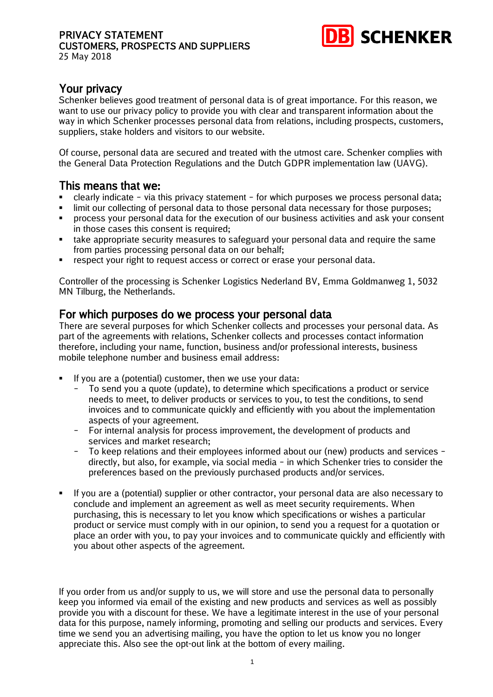# PRIVACY STATEMENT CUSTOMERS, PROSPECTS AND SUPPLIERS 25 May 2018



## Your privacy

Schenker believes good treatment of personal data is of great importance. For this reason, we want to use our privacy policy to provide you with clear and transparent information about the way in which Schenker processes personal data from relations, including prospects, customers, suppliers, stake holders and visitors to our website.

Of course, personal data are secured and treated with the utmost care. Schenker complies with the General Data Protection Regulations and the Dutch GDPR implementation law (UAVG).

#### This means that we:

- clearly indicate via this privacy statement for which purposes we process personal data;
- limit our collecting of personal data to those personal data necessary for those purposes;
- process your personal data for the execution of our business activities and ask your consent in those cases this consent is required;
- take appropriate security measures to safeguard your personal data and require the same from parties processing personal data on our behalf;
- respect your right to request access or correct or erase your personal data.

Controller of the processing is Schenker Logistics Nederland BV, Emma Goldmanweg 1, 5032 MN Tilburg, the Netherlands.

#### For which purposes do we process your personal data

There are several purposes for which Schenker collects and processes your personal data. As part of the agreements with relations, Schenker collects and processes contact information therefore, including your name, function, business and/or professional interests, business mobile telephone number and business email address:

- If you are a (potential) customer, then we use your data:
	- ‒ To send you a quote (update), to determine which specifications a product or service needs to meet, to deliver products or services to you, to test the conditions, to send invoices and to communicate quickly and efficiently with you about the implementation aspects of your agreement.
	- ‒ For internal analysis for process improvement, the development of products and services and market research;
	- ‒ To keep relations and their employees informed about our (new) products and services directly, but also, for example, via social media – in which Schenker tries to consider the preferences based on the previously purchased products and/or services.
- If you are a (potential) supplier or other contractor, your personal data are also necessary to conclude and implement an agreement as well as meet security requirements. When purchasing, this is necessary to let you know which specifications or wishes a particular product or service must comply with in our opinion, to send you a request for a quotation or place an order with you, to pay your invoices and to communicate quickly and efficiently with you about other aspects of the agreement.

If you order from us and/or supply to us, we will store and use the personal data to personally keep you informed via email of the existing and new products and services as well as possibly provide you with a discount for these. We have a legitimate interest in the use of your personal data for this purpose, namely informing, promoting and selling our products and services. Every time we send you an advertising mailing, you have the option to let us know you no longer appreciate this. Also see the opt-out link at the bottom of every mailing.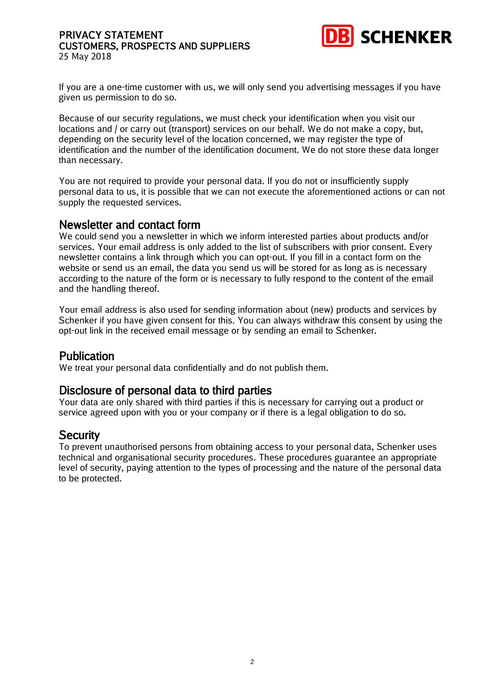

If you are a one-time customer with us, we will only send you advertising messages if you have given us permission to do so.

Because of our security regulations, we must check your identification when you visit our locations and / or carry out (transport) services on our behalf. We do not make a copy, but, depending on the security level of the location concerned, we may register the type of identification and the number of the identification document. We do not store these data longer than necessary.

You are not required to provide your personal data. If you do not or insufficiently supply personal data to us, it is possible that we can not execute the aforementioned actions or can not supply the requested services.

### Newsletter and contact form

We could send you a newsletter in which we inform interested parties about products and/or services. Your email address is only added to the list of subscribers with prior consent. Every newsletter contains a link through which you can opt-out. If you fill in a contact form on the website or send us an email, the data you send us will be stored for as long as is necessary according to the nature of the form or is necessary to fully respond to the content of the email and the handling thereof.

Your email address is also used for sending information about (new) products and services by Schenker if you have given consent for this. You can always withdraw this consent by using the opt-out link in the received email message or by sending an email to Schenker.

## Publication

We treat your personal data confidentially and do not publish them.

#### Disclosure of personal data to third parties

Your data are only shared with third parties if this is necessary for carrying out a product or service agreed upon with you or your company or if there is a legal obligation to do so.

## **Security**

To prevent unauthorised persons from obtaining access to your personal data, Schenker uses technical and organisational security procedures. These procedures guarantee an appropriate level of security, paying attention to the types of processing and the nature of the personal data to be protected.